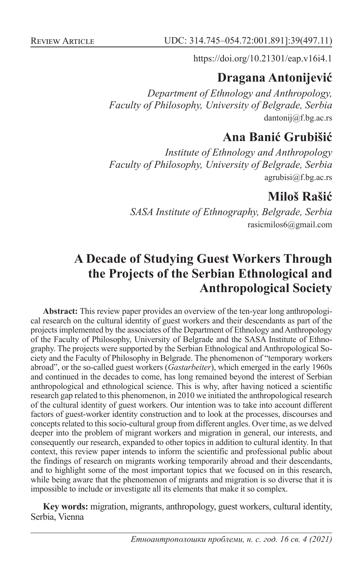REVIEW ARTICLE UDC: 314.745–054.72:001.891]:39(497.11)

https://doi.org/10.21301/eap.v16i4.1

## **Dragana Antonijević**

*Department of Ethnology and Anthropology, Faculty of Philosophy, University of Belgrade, Serbia* dantonij@f.bg.ac.rs

## **Ana Banić Grubišić**

*Institute of Ethnology and Anthropology Faculty of Philosophy, University of Belgrade, Serbia* agrubisi@f.bg.ac.rs

# **Miloš Rašić**

*SASA Institute of Ethnography, Belgrade, Serbia* rasicmilos6@gmail.com

# **A Decade of Studying Guest Workers Through the Projects of the Serbian Ethnological and Anthropological Society**

**Abstract:** This review paper provides an overview of the ten-year long anthropological research on the cultural identity of guest workers and their descendants as part of the projects implemented by the associates of the Department of Ethnology and Anthropology of the Faculty of Philosophy, University of Belgrade and the SASA Institute of Ethnography. The projects were supported by the Serbian Ethnological and Anthropological Society and the Faculty of Philosophy in Belgrade. The phenomenon of "temporary workers abroad", or the so-called guest workers (*Gastarbeiter*), which emerged in the early 1960s and continued in the decades to come, has long remained beyond the interest of Serbian anthropological and ethnological science. This is why, after having noticed a scientific research gap related to this phenomenon, in 2010 we initiated the anthropological research of the cultural identity of guest workers. Our intention was to take into account different factors of guest-worker identity construction and to look at the processes, discourses and concepts related to this socio-cultural group from different angles. Over time, as we delved deeper into the problem of migrant workers and migration in general, our interests, and consequently our research, expanded to other topics in addition to cultural identity. In that context, this review paper intends to inform the scientific and professional public about the findings of research on migrants working temporarily abroad and their descendants, and to highlight some of the most important topics that we focused on in this research, while being aware that the phenomenon of migrants and migration is so diverse that it is impossible to include or investigate all its elements that make it so complex.

**Key words:** migration, migrants, anthropology, guest workers, cultural identity, Serbia, Vienna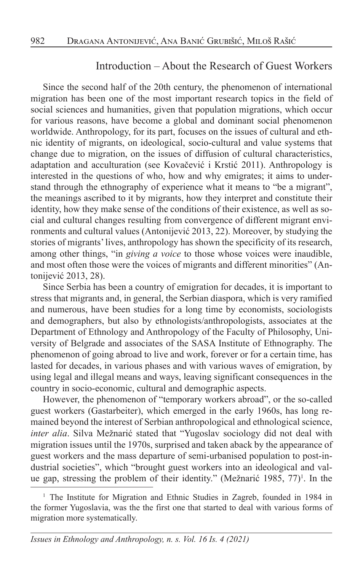#### Introduction – About the Research of Guest Workers

Since the second half of the 20th century, the phenomenon of international migration has been one of the most important research topics in the field of social sciences and humanities, given that population migrations, which occur for various reasons, have become a global and dominant social phenomenon worldwide. Anthropology, for its part, focuses on the issues of cultural and ethnic identity of migrants, on ideological, socio-cultural and value systems that change due to migration, on the issues of diffusion of cultural characteristics, adaptation and acculturation (see Kovačević i Krstić 2011). Anthropology is interested in the questions of who, how and why emigrates; it aims to understand through the ethnography of experience what it means to "be a migrant", the meanings ascribed to it by migrants, how they interpret and constitute their identity, how they make sense of the conditions of their existence, as well as social and cultural changes resulting from convergence of different migrant environments and cultural values (Antonijević 2013, 22). Moreover, by studying the stories of migrants' lives, anthropology has shown the specificity of its research, among other things, "in *giving a voice* to those whose voices were inaudible, and most often those were the voices of migrants and different minorities" (Antonijević 2013, 28).

Since Serbia has been a country of emigration for decades, it is important to stress that migrants and, in general, the Serbian diaspora, which is very ramified and numerous, have been studies for a long time by economists, sociologists and demographers, but also by ethnologists/anthropologists, associates at the Department of Ethnology and Anthropology of the Faculty of Philosophy, University of Belgrade and associates of the SASA Institute of Ethnography. The phenomenon of going abroad to live and work, forever or for a certain time, has lasted for decades, in various phases and with various waves of emigration, by using legal and illegal means and ways, leaving significant consequences in the country in socio-economic, cultural and demographic aspects.

However, the phenomenon of "temporary workers abroad", or the so-called guest workers (Gastarbeiter), which emerged in the early 1960s, has long remained beyond the interest of Serbian anthropological and ethnological science, *inter alia*. Silva Mežnarić stated that "Yugoslav sociology did not deal with migration issues until the 1970s, surprised and taken aback by the appearance of guest workers and the mass departure of semi-urbanised population to post-industrial societies", which "brought guest workers into an ideological and value gap, stressing the problem of their identity." (Mežnarić 1985, 77)<sup>1</sup>. In the

<sup>1</sup> The Institute for Migration and Ethnic Studies in Zagreb, founded in 1984 in the former Yugoslavia, was the the first one that started to deal with various forms of migration more systematically.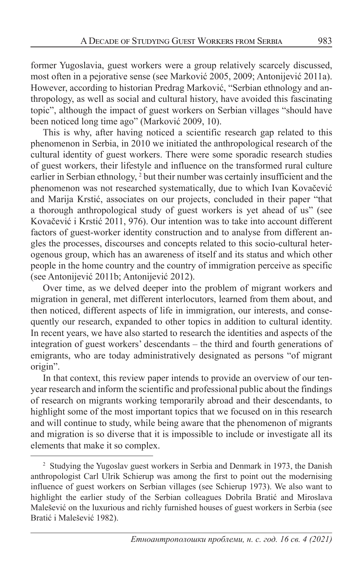former Yugoslavia, guest workers were a group relatively scarcely discussed, most often in a pejorative sense (see Marković 2005, 2009; Antonijević 2011a). However, according to historian Predrag Marković, "Serbian ethnology and anthropology, as well as social and cultural history, have avoided this fascinating topic", although the impact of guest workers on Serbian villages "should have been noticed long time ago" (Marković 2009, 10).

This is why, after having noticed a scientific research gap related to this phenomenon in Serbia, in 2010 we initiated the anthropological research of the cultural identity of guest workers. There were some sporadic research studies of guest workers, their lifestyle and influence on the transformed rural culture earlier in Serbian ethnology, <sup>2</sup> but their number was certainly insufficient and the phenomenon was not researched systematically, due to which Ivan Kovačević and Marija Krstić, associates on our projects, concluded in their paper "that a thorough anthropological study of guest workers is yet ahead of us" (see Kovačević i Krstić 2011, 976). Our intention was to take into account different factors of guest-worker identity construction and to analyse from different angles the processes, discourses and concepts related to this socio-cultural heterogenous group, which has an awareness of itself and its status and which other people in the home country and the country of immigration perceive as specific (see Antonijević 2011b; Antonijević 2012).

Over time, as we delved deeper into the problem of migrant workers and migration in general, met different interlocutors, learned from them about, and then noticed, different aspects of life in immigration, our interests, and consequently our research, expanded to other topics in addition to cultural identity. In recent years, we have also started to research the identities and aspects of the integration of guest workers' descendants – the third and fourth generations of emigrants, who are today administratively designated as persons "of migrant origin".

In that context, this review paper intends to provide an overview of our tenyear research and inform the scientific and professional public about the findings of research on migrants working temporarily abroad and their descendants, to highlight some of the most important topics that we focused on in this research and will continue to study, while being aware that the phenomenon of migrants and migration is so diverse that it is impossible to include or investigate all its elements that make it so complex.

<sup>&</sup>lt;sup>2</sup> Studying the Yugoslav guest workers in Serbia and Denmark in 1973, the Danish anthropologist Carl Ulrik Schierup was among the first to point out the modernising influence of guest workers on Serbian villages (see Schierup 1973). We also want to highlight the earlier study of the Serbian colleagues Dobrila Bratić and Miroslava Malešević on the luxurious and richly furnished houses of guest workers in Serbia (see Bratić i Malešević 1982).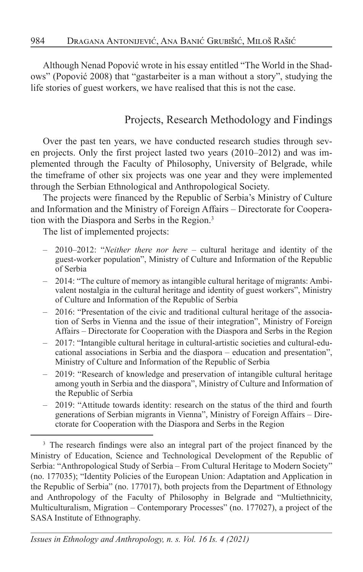Although Nenad Popović wrote in his essay entitled "The World in the Shadows" (Popović 2008) that "gastarbeiter is a man without a story", studying the life stories of guest workers, we have realised that this is not the case.

## Projects, Research Methodology and Findings

Over the past ten years, we have conducted research studies through seven projects. Only the first project lasted two years (2010–2012) and was implemented through the Faculty of Philosophy, University of Belgrade, while the timeframe of other six projects was one year and they were implemented through the Serbian Ethnological and Anthropological Society.

The projects were financed by the Republic of Serbia's Ministry of Culture and Information and the Ministry of Foreign Affairs – Directorate for Cooperation with the Diaspora and Serbs in the Region.<sup>3</sup>

The list of implemented projects:

- 2010–2012: "*Neither there nor here* cultural heritage and identity of the guest-worker population", Ministry of Culture and Information of the Republic of Serbia
- 2014: "The culture of memory as intangible cultural heritage of migrants: Ambivalent nostalgia in the cultural heritage and identity of guest workers", Ministry of Culture and Information of the Republic of Serbia
- 2016: "Presentation of the civic and traditional cultural heritage of the association of Serbs in Vienna and the issue of their integration", Ministry of Foreign Affairs – Directorate for Cooperation with the Diaspora and Serbs in the Region
- 2017: "Intangible cultural heritage in cultural-artistic societies and cultural-educational associations in Serbia and the diaspora – education and presentation", Ministry of Culture and Information of the Republic of Serbia
- 2019: "Research of knowledge and preservation of intangible cultural heritage among youth in Serbia and the diaspora", Ministry of Culture and Information of the Republic of Serbia
- 2019: "Attitude towards identity: research on the status of the third and fourth generations of Serbian migrants in Vienna", Ministry of Foreign Affairs – Directorate for Cooperation with the Diaspora and Serbs in the Region

<sup>&</sup>lt;sup>3</sup> The research findings were also an integral part of the project financed by the Ministry of Education, Science and Technological Development of the Republic of Serbia: "Anthropological Study of Serbia – From Cultural Heritage to Modern Society" (no. 177035); "Identity Policies of the European Union: Adaptation and Application in the Republic of Serbia" (no. 177017), both projects from the Department of Ethnology and Anthropology of the Faculty of Philosophy in Belgrade and "Multiethnicity, Multiculturalism, Migration – Contemporary Processes" (no. 177027), a project of the SASA Institute of Ethnography.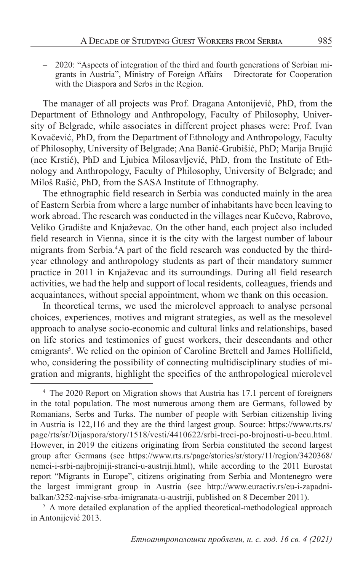– 2020: "Aspects of integration of the third and fourth generations of Serbian migrants in Austria", Ministry of Foreign Affairs – Directorate for Cooperation with the Diaspora and Serbs in the Region.

The manager of all projects was Prof. Dragana Antonijević, PhD, from the Department of Ethnology and Anthropology, Faculty of Philosophy, University of Belgrade, while associates in different project phases were: Prof. Ivan Kovačević, PhD, from the Department of Ethnology and Anthropology, Faculty of Philosophy, University of Belgrade; Ana Banić-Grubišić, PhD; Marija Brujić (nee Krstić), PhD and Ljubica Milosavljević, PhD, from the Institute of Ethnology and Anthropology, Faculty of Philosophy, University of Belgrade; and Miloš Rašić, PhD, from the SASA Institute of Ethnography.

The ethnographic field research in Serbia was conducted mainly in the area of Eastern Serbia from where a large number of inhabitants have been leaving to work abroad. The research was conducted in the villages near Kučevo, Rabrovo, Veliko Gradište and Knjaževac. On the other hand, each project also included field research in Vienna, since it is the city with the largest number of labour migrants from Serbia.4 A part of the field research was conducted by the thirdyear ethnology and anthropology students as part of their mandatory summer practice in 2011 in Knjaževac and its surroundings. During all field research activities, we had the help and support of local residents, colleagues, friends and acquaintances, without special appointment, whom we thank on this occasion.

In theoretical terms, we used the microlevel approach to analyse personal choices, experiences, motives and migrant strategies, as well as the mesolevel approach to analyse socio-economic and cultural links and relationships, based on life stories and testimonies of guest workers, their descendants and other emigrants<sup>5</sup>. We relied on the opinion of Caroline Brettell and James Hollifield, who, considering the possibility of connecting multidisciplinary studies of migration and migrants, highlight the specifics of the anthropological microlevel

<sup>5</sup> A more detailed explanation of the applied theoretical-methodological approach in Antonijević 2013.

<sup>&</sup>lt;sup>4</sup> The 2020 Report on Migration shows that Austria has 17.1 percent of foreigners in the total population. The most numerous among them are Germans, followed by Romanians, Serbs and Turks. The number of people with Serbian citizenship living in Austria is 122,116 and they are the third largest group. Source: https://www.rts.rs/ page/rts/sr/Dijaspora/story/1518/vesti/4410622/srbi-treci-po-brojnosti-u-becu.html. However, in 2019 the citizens originating from Serbia constituted the second largest group after Germans (see https://www.rts.rs/page/stories/sr/story/11/region/3420368/ nemci-i-srbi-najbrojniji-stranci-u-austriji.html), while according to the 2011 Eurostat report "Migrants in Europe", citizens originating from Serbia and Montenegro were the largest immigrant group in Austria (see http://www.euractiv.rs/eu-i-zapadnibalkan/3252-najvise-srba-imigranata-u-austriji, published on 8 December 2011).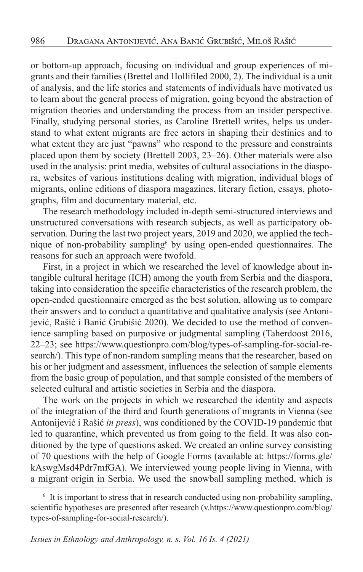or bottom-up approach, focusing on individual and group experiences of migrants and their families (Brettel and Hollifiled 2000, 2). The individual is a unit of analysis, and the life stories and statements of individuals have motivated us to learn about the general process of migration, going beyond the abstraction of migration theories and understanding the process from an insider perspective. Finally, studying personal stories, as Caroline Brettell writes, helps us understand to what extent migrants are free actors in shaping their destinies and to what extent they are just "pawns" who respond to the pressure and constraints placed upon them by society (Brettell 2003, 23–26). Other materials were also used in the analysis: print media, websites of cultural associations in the diaspora, websites of various institutions dealing with migration, individual blogs of migrants, online editions of diaspora magazines, literary fiction, essays, photographs, film and documentary material, etc.

The research methodology included in-depth semi-structured interviews and unstructured conversations with research subjects, as well as participatory observation. During the last two project years, 2019 and 2020, we applied the technique of non-probability sampling<sup>6</sup> by using open-ended questionnaires. The reasons for such an approach were twofold.

First, in a project in which we researched the level of knowledge about intangible cultural heritage (ICH) among the youth from Serbia and the diaspora, taking into consideration the specific characteristics of the research problem, the open-ended questionnaire emerged as the best solution, allowing us to compare their answers and to conduct a quantitative and qualitative analysis (see Antonijević, Rašić i Banić Grubišić 2020). We decided to use the method of convenience sampling based on purposive or judgmental sampling (Taherdoost 2016, 22–23; see https://www.questionpro.com/blog/types-of-sampling-for-social-research/). This type of non-random sampling means that the researcher, based on his or her judgment and assessment, influences the selection of sample elements from the basic group of population, and that sample consisted of the members of selected cultural and artistic societies in Serbia and the diaspora.

The work on the projects in which we researched the identity and aspects of the integration of the third and fourth generations of migrants in Vienna (see Antonijević i Rašić *in press*), was conditioned by the COVID-19 pandemic that led to quarantine, which prevented us from going to the field. It was also conditioned by the type of questions asked. We created an online survey consisting of 70 questions with the help of Google Forms (available at: https://forms.gle/ kAswgMsd4Pdr7mfGA). We interviewed young people living in Vienna, with a migrant origin in Serbia. We used the snowball sampling method, which is

<sup>&</sup>lt;sup>6</sup> It is important to stress that in research conducted using non-probability sampling, scientific hypotheses are presented after research (v.https://www.questionpro.com/blog/ types-of-sampling-for-social-research/).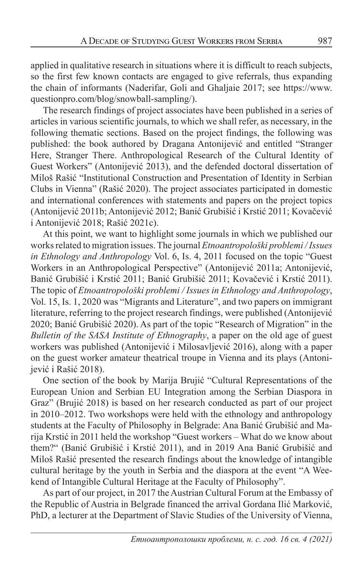applied in qualitative research in situations where it is difficult to reach subjects, so the first few known contacts are engaged to give referrals, thus expanding the chain of informants (Naderifar, Goli and Ghaljaie 2017; see https://www. questionpro.com/blog/snowball-sampling/).

The research findings of project associates have been published in a series of articles in various scientific journals, to which we shall refer, as necessary, in the following thematic sections. Based on the project findings, the following was published: the book authored by Dragana Antonijević and entitled "Stranger Here, Stranger There. Anthropological Research of the Cultural Identity of Guest Workers" (Antonijević 2013), and the defended doctoral dissertation of Miloš Rašić "Institutional Construction and Presentation of Identity in Serbian Clubs in Vienna" (Rašić 2020). The project associates participated in domestic and international conferences with statements and papers on the project topics (Antonijević 2011b; Antonijević 2012; Banić Grubišić i Krstić 2011; Kovačević i Antonijević 2018; Rašić 2021c).

At this point, we want to highlight some journals in which we published our works related to migration issues. The journal *Etnoantropološki problemi / Issues in Ethnology and Anthropology* Vol. 6, Is. 4, 2011 focused on the topic "Guest Workers in an Anthropological Perspective" (Antonijević 2011a; Antonijević, Banić Grubišić i Krstić 2011; Banić Grubišić 2011; Kovačević i Krstić 2011). The topic of *Etnoantropološki problemi / Issues in Ethnology and Anthropology*, Vol. 15, Is. 1, 2020 was "Migrants and Literature", and two papers on immigrant literature, referring to the project research findings, were published (Antonijević 2020; Banić Grubišić 2020). As part of the topic "Research of Migration" in the *Bulletin of the SASA Institute of Ethnography*, a paper on the old age of guest workers was published (Antonijević i Milosavljević 2016), along with a paper on the guest worker amateur theatrical troupe in Vienna and its plays (Antonijević i Rašić 2018).

One section of the book by Marija Brujić "Cultural Representations of the European Union and Serbian EU Integration among the Serbian Diaspora in Graz" (Brujić 2018) is based on her research conducted as part of our project in 2010–2012. Two workshops were held with the ethnology and anthropology students at the Faculty of Philosophy in Belgrade: Ana Banić Grubišić and Marija Krstić in 2011 held the workshop "Guest workers – What do we know about them?" (Banić Grubišić i Krstić 2011), and in 2019 Ana Banić Grubišić and Miloš Rašić presented the research findings about the knowledge of intangible cultural heritage by the youth in Serbia and the diaspora at the event "A Weekend of Intangible Cultural Heritage at the Faculty of Philosophy".

As part of our project, in 2017 the Austrian Cultural Forum at the Embassy of the Republic of Austria in Belgrade financed the arrival Gordana Ilić Marković, PhD, a lecturer at the Department of Slavic Studies of the University of Vienna,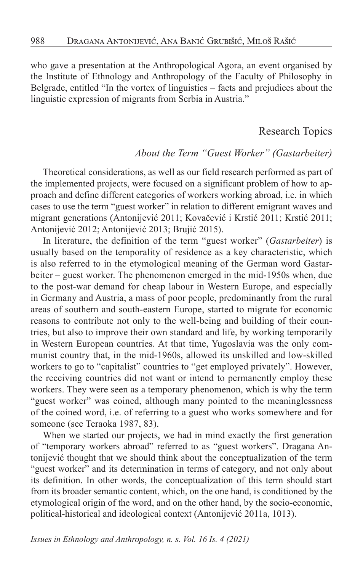who gave a presentation at the Anthropological Agora, an event organised by the Institute of Ethnology and Anthropology of the Faculty of Philosophy in Belgrade, entitled "In the vortex of linguistics – facts and prejudices about the linguistic expression of migrants from Serbia in Austria."

#### Research Topics

#### *About the Term "Guest Worker" (Gastarbeiter)*

Theoretical considerations, as well as our field research performed as part of the implemented projects, were focused on a significant problem of how to approach and define different categories of workers working abroad, i.e. in which cases to use the term "guest worker" in relation to different emigrant waves and migrant generations (Antonijević 2011; Kovačević i Krstić 2011; Krstić 2011; Antonijević 2012; Antonijević 2013; Brujić 2015).

In literature, the definition of the term "guest worker" (*Gastarbeiter*) is usually based on the temporality of residence as a key characteristic, which is also referred to in the etymological meaning of the German word Gastarbeiter – guest worker. The phenomenon emerged in the mid-1950s when, due to the post-war demand for cheap labour in Western Europe, and especially in Germany and Austria, a mass of poor people, predominantly from the rural areas of southern and south-eastern Europe, started to migrate for economic reasons to contribute not only to the well-being and building of their countries, but also to improve their own standard and life, by working temporarily in Western European countries. At that time, Yugoslavia was the only communist country that, in the mid-1960s, allowed its unskilled and low-skilled workers to go to "capitalist" countries to "get employed privately". However, the receiving countries did not want or intend to permanently employ these workers. They were seen as a temporary phenomenon, which is why the term "guest worker" was coined, although many pointed to the meaninglessness of the coined word, i.e. of referring to a guest who works somewhere and for someone (see Teraoka 1987, 83).

When we started our projects, we had in mind exactly the first generation of "temporary workers abroad" referred to as "guest workers". Dragana Antonijević thought that we should think about the conceptualization of the term "guest worker" and its determination in terms of category, and not only about its definition. In other words, the conceptualization of this term should start from its broader semantic content, which, on the one hand, is conditioned by the etymological origin of the word, and on the other hand, by the socio-economic, political-historical and ideological context (Antonijević 2011a, 1013).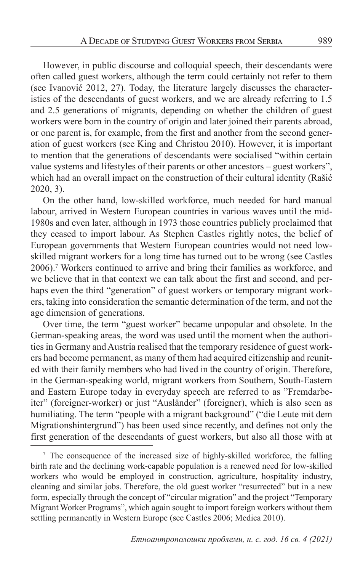However, in public discourse and colloquial speech, their descendants were often called guest workers, although the term could certainly not refer to them (see Ivanović 2012, 27). Today, the literature largely discusses the characteristics of the descendants of guest workers, and we are already referring to 1.5 and 2.5 generations of migrants, depending on whether the children of guest workers were born in the country of origin and later joined their parents abroad, or one parent is, for example, from the first and another from the second generation of guest workers (see King and Christou 2010). However, it is important to mention that the generations of descendants were socialised "within certain value systems and lifestyles of their parents or other ancestors – guest workers", which had an overall impact on the construction of their cultural identity (Rašić 2020, 3).

On the other hand, low-skilled workforce, much needed for hard manual labour, arrived in Western European countries in various waves until the mid-1980s and even later, although in 1973 those countries publicly proclaimed that they ceased to import labour. As Stephen Castles rightly notes, the belief of European governments that Western European countries would not need lowskilled migrant workers for a long time has turned out to be wrong (see Castles 2006).7 Workers continued to arrive and bring their families as workforce, and we believe that in that context we can talk about the first and second, and perhaps even the third "generation" of guest workers or temporary migrant workers, taking into consideration the semantic determination of the term, and not the age dimension of generations.

Over time, the term "guest worker" became unpopular and obsolete. In the German-speaking areas, the word was used until the moment when the authorities in Germany and Austria realised that the temporary residence of guest workers had become permanent, as many of them had acquired citizenship and reunited with their family members who had lived in the country of origin. Therefore, in the German-speaking world, migrant workers from Southern, South-Eastern and Eastern Europe today in everyday speech are referred to as "Fremdarbeiter" (foreigner-worker) or just "Ausländer" (foreigner), which is also seen as humiliating. The term "people with a migrant background" ("die Leute mit dem Migrationshintergrund") has been used since recently, and defines not only the first generation of the descendants of guest workers, but also all those with at

<sup>&</sup>lt;sup>7</sup> The consequence of the increased size of highly-skilled workforce, the falling birth rate and the declining work-capable population is a renewed need for low-skilled workers who would be employed in construction, agriculture, hospitality industry, cleaning and similar jobs. Therefore, the old guest worker "resurrected" but in a new form, especially through the concept of "circular migration" and the project "Temporary Migrant Worker Programs", which again sought to import foreign workers without them settling permanently in Western Europe (see Castles 2006; Medica 2010).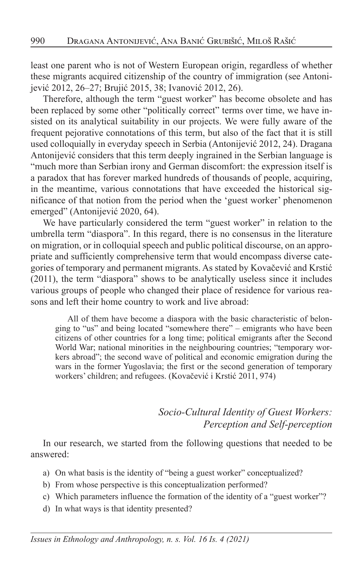least one parent who is not of Western European origin, regardless of whether these migrants acquired citizenship of the country of immigration (see Antonijević 2012, 26–27; Brujić 2015, 38; Ivanović 2012, 26).

Therefore, although the term "guest worker" has become obsolete and has been replaced by some other "politically correct" terms over time, we have insisted on its analytical suitability in our projects. We were fully aware of the frequent pejorative connotations of this term, but also of the fact that it is still used colloquially in everyday speech in Serbia (Antonijević 2012, 24). Dragana Antonijević considers that this term deeply ingrained in the Serbian language is "much more than Serbian irony and German discomfort: the expression itself is a paradox that has forever marked hundreds of thousands of people, acquiring, in the meantime, various connotations that have exceeded the historical significance of that notion from the period when the 'guest worker' phenomenon emerged" (Antonijević 2020, 64).

We have particularly considered the term "guest worker" in relation to the umbrella term "diaspora". In this regard, there is no consensus in the literature on migration, or in colloquial speech and public political discourse, on an appropriate and sufficiently comprehensive term that would encompass diverse categories of temporary and permanent migrants. As stated by Kovačević and Krstić (2011), the term "diaspora" shows to be analytically useless since it includes various groups of people who changed their place of residence for various reasons and left their home country to work and live abroad:

All of them have become a diaspora with the basic characteristic of belonging to "us" and being located "somewhere there" – emigrants who have been citizens of other countries for a long time; political emigrants after the Second World War; national minorities in the neighbouring countries; "temporary workers abroad"; the second wave of political and economic emigration during the wars in the former Yugoslavia; the first or the second generation of temporary workers' children; and refugees. (Kovačević i Krstić 2011, 974)

## *Socio-Cultural Identity of Guest Workers: Perception and Self-perception*

In our research, we started from the following questions that needed to be answered:

- a) On what basis is the identity of "being a guest worker" conceptualized?
- b) From whose perspective is this conceptualization performed?
- c) Which parameters influence the formation of the identity of a "guest worker"?
- d) In what ways is that identity presented?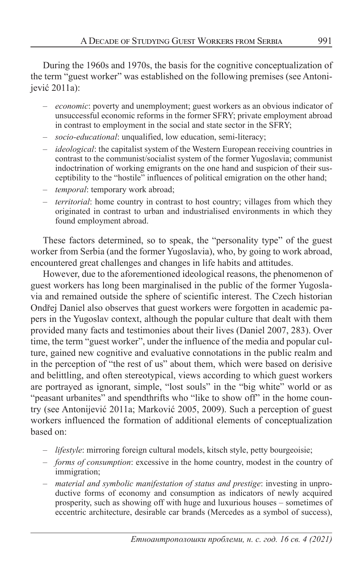During the 1960s and 1970s, the basis for the cognitive conceptualization of the term "guest worker" was established on the following premises (see Antonijević 2011a):

- *economic*: poverty and unemployment; guest workers as an obvious indicator of unsuccessful economic reforms in the former SFRY; private employment abroad in contrast to employment in the social and state sector in the SFRY;
- *socio-educational*: unqualified, low education, semi-literacy;
- *ideological*: the capitalist system of the Western European receiving countries in contrast to the communist/socialist system of the former Yugoslavia; communist indoctrination of working emigrants on the one hand and suspicion of their susceptibility to the "hostile" influences of political emigration on the other hand;
- *temporal*: temporary work abroad;
- *territorial*: home country in contrast to host country; villages from which they originated in contrast to urban and industrialised environments in which they found employment abroad.

These factors determined, so to speak, the "personality type" of the guest worker from Serbia (and the former Yugoslavia), who, by going to work abroad, encountered great challenges and changes in life habits and attitudes.

However, due to the aforementioned ideological reasons, the phenomenon of guest workers has long been marginalised in the public of the former Yugoslavia and remained outside the sphere of scientific interest. The Czech historian Ondřej Daniel also observes that guest workers were forgotten in academic papers in the Yugoslav context, although the popular culture that dealt with them provided many facts and testimonies about their lives (Daniel 2007, 283). Over time, the term "guest worker", under the influence of the media and popular culture, gained new cognitive and evaluative connotations in the public realm and in the perception of "the rest of us" about them, which were based on derisive and belittling, and often stereotypical, views according to which guest workers are portrayed as ignorant, simple, "lost souls" in the "big white" world or as "peasant urbanites" and spendthrifts who "like to show off" in the home country (see Antonijević 2011a; Marković 2005, 2009). Such a perception of guest workers influenced the formation of additional elements of conceptualization based on:

- *lifestyle*: mirroring foreign cultural models, kitsch style, petty bourgeoisie;
- *forms of consumption*: excessive in the home country, modest in the country of immigration;
- *material and symbolic manifestation of status and prestige*: investing in unproductive forms of economy and consumption as indicators of newly acquired prosperity, such as showing off with huge and luxurious houses – sometimes of eccentric architecture, desirable car brands (Mercedes as a symbol of success),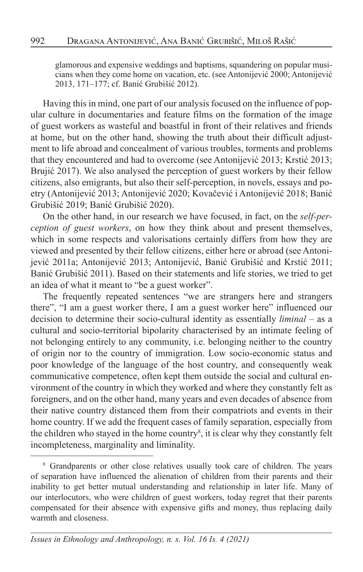glamorous and expensive weddings and baptisms, squandering on popular musicians when they come home on vacation, etc. (see Antonijević 2000; Antonijević 2013, 171–177; cf. Banić Grubišić 2012).

Having this in mind, one part of our analysis focused on the influence of popular culture in documentaries and feature films on the formation of the image of guest workers as wasteful and boastful in front of their relatives and friends at home, but on the other hand, showing the truth about their difficult adjustment to life abroad and concealment of various troubles, torments and problems that they encountered and had to overcome (see Antonijević 2013; Krstić 2013; Brujić 2017). We also analysed the perception of guest workers by their fellow citizens, also emigrants, but also their self-perception, in novels, essays and poetry (Antonijević 2013; Antonijević 2020; Kovačević i Antonijević 2018; Banić Grubišić 2019; Banić Grubišić 2020).

On the other hand, in our research we have focused, in fact, on the *self-perception of guest workers*, on how they think about and present themselves, which in some respects and valorisations certainly differs from how they are viewed and presented by their fellow citizens, either here or abroad (see Antonijević 2011a; Antonijević 2013; Antonijević, Banić Grubišić and Krstić 2011; Banić Grubišić 2011). Based on their statements and life stories, we tried to get an idea of what it meant to "be a guest worker".

The frequently repeated sentences "we are strangers here and strangers there", "I am a guest worker there, I am a guest worker here" influenced our decision to determine their socio-cultural identity as essentially *liminal* – as a cultural and socio-territorial bipolarity characterised by an intimate feeling of not belonging entirely to any community, i.e. belonging neither to the country of origin nor to the country of immigration. Low socio-economic status and poor knowledge of the language of the host country, and consequently weak communicative competence, often kept them outside the social and cultural environment of the country in which they worked and where they constantly felt as foreigners, and on the other hand, many years and even decades of absence from their native country distanced them from their compatriots and events in their home country. If we add the frequent cases of family separation, especially from the children who stayed in the home country<sup>8</sup>, it is clear why they constantly felt incompleteness, marginality and liminality.

<sup>&</sup>lt;sup>8</sup> Grandparents or other close relatives usually took care of children. The years of separation have influenced the alienation of children from their parents and their inability to get better mutual understanding and relationship in later life. Many of our interlocutors, who were children of guest workers, today regret that their parents compensated for their absence with expensive gifts and money, thus replacing daily warmth and closeness.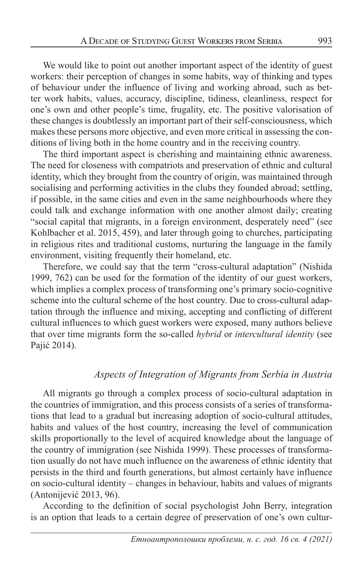We would like to point out another important aspect of the identity of guest workers: their perception of changes in some habits, way of thinking and types of behaviour under the influence of living and working abroad, such as better work habits, values, accuracy, discipline, tidiness, cleanliness, respect for one's own and other people's time, frugality, etc. The positive valorisation of these changes is doubtlessly an important part of their self-consciousness, which makes these persons more objective, and even more critical in assessing the conditions of living both in the home country and in the receiving country.

The third important aspect is cherishing and maintaining ethnic awareness. The need for closeness with compatriots and preservation of ethnic and cultural identity, which they brought from the country of origin, was maintained through socialising and performing activities in the clubs they founded abroad; settling, if possible, in the same cities and even in the same neighbourhoods where they could talk and exchange information with one another almost daily; creating "social capital that migrants, in a foreign environment, desperately need" (see Kohlbacher et al. 2015, 459), and later through going to churches, participating in religious rites and traditional customs, nurturing the language in the family environment, visiting frequently their homeland, etc.

Therefore, we could say that the term "cross-cultural adaptation" (Nishida 1999, 762) can be used for the formation of the identity of our guest workers, which implies a complex process of transforming one's primary socio-cognitive scheme into the cultural scheme of the host country. Due to cross-cultural adaptation through the influence and mixing, accepting and conflicting of different cultural influences to which guest workers were exposed, many authors believe that over time migrants form the so-called *hybrid* or *intercultural identity* (see Pajić 2014).

### *Aspects of Integration of Migrants from Serbia in Austria*

All migrants go through a complex process of socio-cultural adaptation in the countries of immigration, and this process consists of a series of transformations that lead to a gradual but increasing adoption of socio-cultural attitudes, habits and values of the host country, increasing the level of communication skills proportionally to the level of acquired knowledge about the language of the country of immigration (see Nishida 1999). These processes of transformation usually do not have much influence on the awareness of ethnic identity that persists in the third and fourth generations, but almost certainly have influence on socio-cultural identity – changes in behaviour, habits and values of migrants (Antonijević 2013, 96).

According to the definition of social psychologist John Berry, integration is an option that leads to a certain degree of preservation of one's own cultur-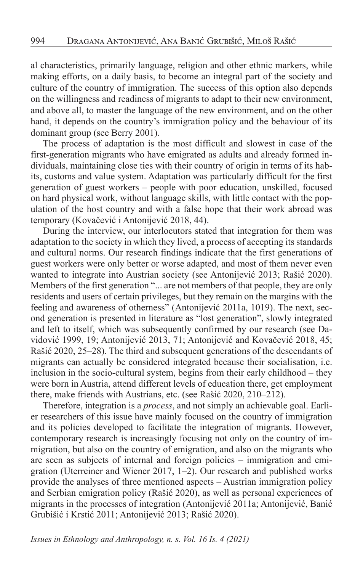al characteristics, primarily language, religion and other ethnic markers, while making efforts, on a daily basis, to become an integral part of the society and culture of the country of immigration. The success of this option also depends on the willingness and readiness of migrants to adapt to their new environment, and above all, to master the language of the new environment, and on the other hand, it depends on the country's immigration policy and the behaviour of its dominant group (see Berry 2001).

The process of adaptation is the most difficult and slowest in case of the first-generation migrants who have emigrated as adults and already formed individuals, maintaining close ties with their country of origin in terms of its habits, customs and value system. Adaptation was particularly difficult for the first generation of guest workers – people with poor education, unskilled, focused on hard physical work, without language skills, with little contact with the population of the host country and with a false hope that their work abroad was temporary (Kovačević i Antonijević 2018, 44).

During the interview, our interlocutors stated that integration for them was adaptation to the society in which they lived, a process of accepting its standards and cultural norms. Our research findings indicate that the first generations of guest workers were only better or worse adapted, and most of them never even wanted to integrate into Austrian society (see Antonijević 2013; Rašić 2020). Members of the first generation "... are not members of that people, they are only residents and users of certain privileges, but they remain on the margins with the feeling and awareness of otherness" (Antonijević 2011a, 1019). The next, second generation is presented in literature as "lost generation", slowly integrated and left to itself, which was subsequently confirmed by our research (see Davidović 1999, 19; Antonijević 2013, 71; Antonijević and Kovačević 2018, 45; Rašić 2020, 25–28). The third and subsequent generations of the descendants of migrants can actually be considered integrated because their socialisation, i.e. inclusion in the socio-cultural system, begins from their early childhood – they were born in Austria, attend different levels of education there, get employment there, make friends with Austrians, etc. (see Rašić 2020, 210–212).

Therefore, integration is a *process*, and not simply an achievable goal. Earlier researchers of this issue have mainly focused on the country of immigration and its policies developed to facilitate the integration of migrants. However, contemporary research is increasingly focusing not only on the country of immigration, but also on the country of emigration, and also on the migrants who are seen as subjects of internal and foreign policies – immigration and emigration (Uterreiner and Wiener 2017, 1–2). Our research and published works provide the analyses of three mentioned aspects – Austrian immigration policy and Serbian emigration policy (Rašić 2020), as well as personal experiences of migrants in the processes of integration (Antonijević 2011a; Antonijević, Banić Grubišić i Krstić 2011; Antonijević 2013; Rašić 2020).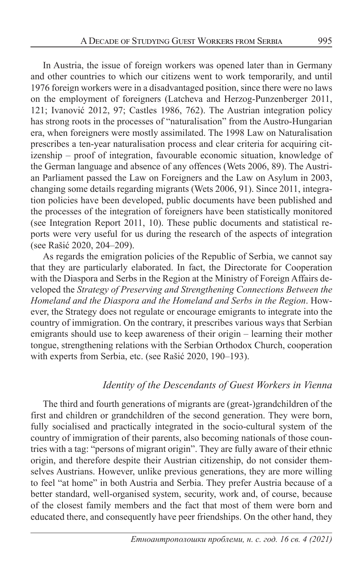In Austria, the issue of foreign workers was opened later than in Germany and other countries to which our citizens went to work temporarily, and until 1976 foreign workers were in a disadvantaged position, since there were no laws on the employment of foreigners (Latcheva and Herzog-Punzenberger 2011, 121; Ivanović 2012, 97; Castles 1986, 762). The Austrian integration policy has strong roots in the processes of "naturalisation" from the Austro-Hungarian era, when foreigners were mostly assimilated. The 1998 Law on Naturalisation prescribes a ten-year naturalisation process and clear criteria for acquiring citizenship – proof of integration, favourable economic situation, knowledge of the German language and absence of any offences (Wets 2006, 89). The Austrian Parliament passed the Law on Foreigners and the Law on Asylum in 2003, changing some details regarding migrants (Wets 2006, 91). Since 2011, integration policies have been developed, public documents have been published and the processes of the integration of foreigners have been statistically monitored (see Integration Report 2011, 10). These public documents and statistical reports were very useful for us during the research of the aspects of integration (see Rašić 2020, 204–209).

As regards the emigration policies of the Republic of Serbia, we cannot say that they are particularly elaborated. In fact, the Directorate for Cooperation with the Diaspora and Serbs in the Region at the Ministry of Foreign Affairs developed the *Strategy of Preserving and Strengthening Connections Between the Homeland and the Diaspora and the Homeland and Serbs in the Region*. However, the Strategy does not regulate or encourage emigrants to integrate into the country of immigration. On the contrary, it prescribes various ways that Serbian emigrants should use to keep awareness of their origin – learning their mother tongue, strengthening relations with the Serbian Orthodox Church, cooperation with experts from Serbia, etc. (see Rašić 2020, 190–193).

### *Identity of the Descendants of Guest Workers in Vienna*

The third and fourth generations of migrants are (great-)grandchildren of the first and children or grandchildren of the second generation. They were born, fully socialised and practically integrated in the socio-cultural system of the country of immigration of their parents, also becoming nationals of those countries with a tag: "persons of migrant origin". They are fully aware of their ethnic origin, and therefore despite their Austrian citizenship, do not consider themselves Austrians. However, unlike previous generations, they are more willing to feel "at home" in both Austria and Serbia. They prefer Austria because of a better standard, well-organised system, security, work and, of course, because of the closest family members and the fact that most of them were born and educated there, and consequently have peer friendships. On the other hand, they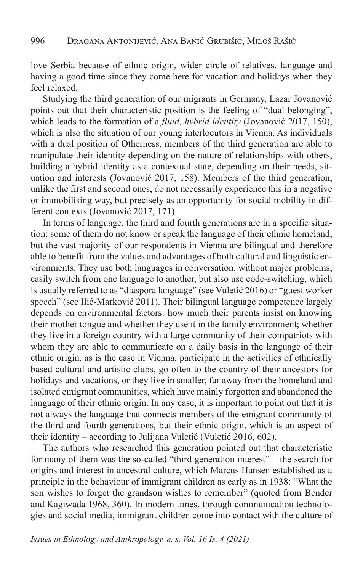love Serbia because of ethnic origin, wider circle of relatives, language and having a good time since they come here for vacation and holidays when they feel relaxed.

Studying the third generation of our migrants in Germany, Lazar Jovanović points out that their characteristic position is the feeling of "dual belonging", which leads to the formation of a *fluid, hybrid identity* (Jovanović 2017, 150), which is also the situation of our young interlocutors in Vienna. As individuals with a dual position of Otherness, members of the third generation are able to manipulate their identity depending on the nature of relationships with others, building a hybrid identity as a contextual state, depending on their needs, situation and interests (Jovanović 2017, 158). Members of the third generation, unlike the first and second ones, do not necessarily experience this in a negative or immobilising way, but precisely as an opportunity for social mobility in different contexts (Jovanović 2017, 171).

In terms of language, the third and fourth generations are in a specific situation: some of them do not know or speak the language of their ethnic homeland, but the vast majority of our respondents in Vienna are bilingual and therefore able to benefit from the values and advantages of both cultural and linguistic environments. They use both languages in conversation, without major problems, easily switch from one language to another, but also use code-switching, which is usually referred to as "diaspora language" (see Vuletić 2016) or "guest worker speech" (see Ilić-Marković 2011). Their bilingual language competence largely depends on environmental factors: how much their parents insist on knowing their mother tongue and whether they use it in the family environment; whether they live in a foreign country with a large community of their compatriots with whom they are able to communicate on a daily basis in the language of their ethnic origin, as is the case in Vienna, participate in the activities of ethnically based cultural and artistic clubs, go often to the country of their ancestors for holidays and vacations, or they live in smaller, far away from the homeland and isolated emigrant communities, which have mainly forgotten and abandoned the language of their ethnic origin. In any case, it is important to point out that it is not always the language that connects members of the emigrant community of the third and fourth generations, but their ethnic origin, which is an aspect of their identity – according to Julijana Vuletić (Vuletić 2016, 602).

The authors who researched this generation pointed out that characteristic for many of them was the so-called "third generation interest" – the search for origins and interest in ancestral culture, which Marcus Hansen established as a principle in the behaviour of immigrant children as early as in 1938: "What the son wishes to forget the grandson wishes to remember" (quoted from Bender and Kagiwada 1968, 360). In modern times, through communication technologies and social media, immigrant children come into contact with the culture of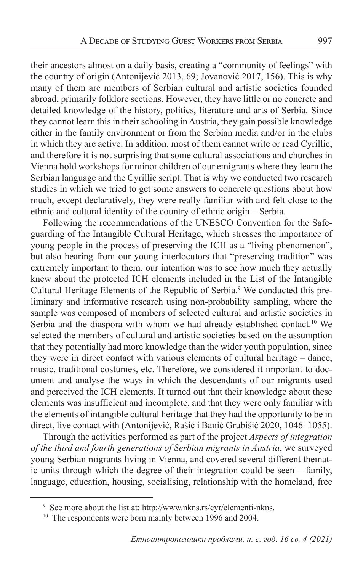their ancestors almost on a daily basis, creating a "community of feelings" with the country of origin (Antonijević 2013, 69; Jovanović 2017, 156). This is why many of them are members of Serbian cultural and artistic societies founded abroad, primarily folklore sections. However, they have little or no concrete and detailed knowledge of the history, politics, literature and arts of Serbia. Since they cannot learn this in their schooling in Austria, they gain possible knowledge either in the family environment or from the Serbian media and/or in the clubs in which they are active. In addition, most of them cannot write or read Cyrillic, and therefore it is not surprising that some cultural associations and churches in Vienna hold workshops for minor children of our emigrants where they learn the Serbian language and the Cyrillic script. That is why we conducted two research studies in which we tried to get some answers to concrete questions about how much, except declaratively, they were really familiar with and felt close to the ethnic and cultural identity of the country of ethnic origin – Serbia.

Following the recommendations of the UNESCO Convention for the Safeguarding of the Intangible Cultural Heritage, which stresses the importance of young people in the process of preserving the ICH as a "living phenomenon", but also hearing from our young interlocutors that "preserving tradition" was extremely important to them, our intention was to see how much they actually knew about the protected ICH elements included in the List of the Intangible Cultural Heritage Elements of the Republic of Serbia.<sup>9</sup> We conducted this preliminary and informative research using non-probability sampling, where the sample was composed of members of selected cultural and artistic societies in Serbia and the diaspora with whom we had already established contact.<sup>10</sup> We selected the members of cultural and artistic societies based on the assumption that they potentially had more knowledge than the wider youth population, since they were in direct contact with various elements of cultural heritage – dance, music, traditional costumes, etc. Therefore, we considered it important to document and analyse the ways in which the descendants of our migrants used and perceived the ICH elements. It turned out that their knowledge about these elements was insufficient and incomplete, and that they were only familiar with the elements of intangible cultural heritage that they had the opportunity to be in direct, live contact with (Antonijević, Rašić i Banić Grubišić 2020, 1046–1055).

Through the activities performed as part of the project *Aspects of integration of the third and fourth generations of Serbian migrants in Austria*, we surveyed young Serbian migrants living in Vienna, and covered several different thematic units through which the degree of their integration could be seen – family, language, education, housing, socialising, relationship with the homeland, free

<sup>&</sup>lt;sup>9</sup> See more about the list at: http://www.nkns.rs/cyr/elementi-nkns.

 $10$  The respondents were born mainly between 1996 and 2004.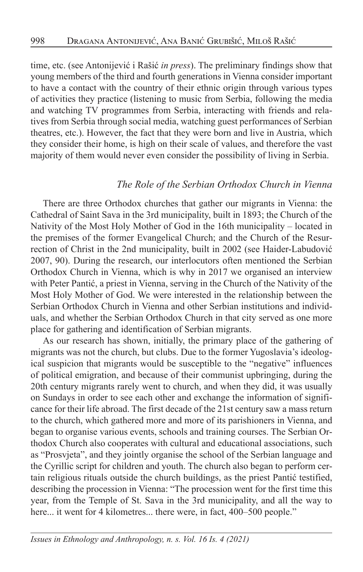time, etc. (see Antonijević i Rašić *in press*). The preliminary findings show that young members of the third and fourth generations in Vienna consider important to have a contact with the country of their ethnic origin through various types of activities they practice (listening to music from Serbia, following the media and watching TV programmes from Serbia, interacting with friends and relatives from Serbia through social media, watching guest performances of Serbian theatres, etc.). However, the fact that they were born and live in Austria, which they consider their home, is high on their scale of values, and therefore the vast majority of them would never even consider the possibility of living in Serbia.

#### *The Role of the Serbian Orthodox Church in Vienna*

There are three Orthodox churches that gather our migrants in Vienna: the Cathedral of Saint Sava in the 3rd municipality, built in 1893; the Church of the Nativity of the Most Holy Mother of God in the 16th municipality – located in the premises of the former Evangelical Church; and the Church of the Resurrection of Christ in the 2nd municipality, built in 2002 (see Haider-Labudović 2007, 90). During the research, our interlocutors often mentioned the Serbian Orthodox Church in Vienna, which is why in 2017 we organised an interview with Peter Pantić, a priest in Vienna, serving in the Church of the Nativity of the Most Holy Mother of God. We were interested in the relationship between the Serbian Orthodox Church in Vienna and other Serbian institutions and individuals, and whether the Serbian Orthodox Church in that city served as one more place for gathering and identification of Serbian migrants.

As our research has shown, initially, the primary place of the gathering of migrants was not the church, but clubs. Due to the former Yugoslavia's ideological suspicion that migrants would be susceptible to the "negative" influences of political emigration, and because of their communist upbringing, during the 20th century migrants rarely went to church, and when they did, it was usually on Sundays in order to see each other and exchange the information of significance for their life abroad. The first decade of the 21st century saw a mass return to the church, which gathered more and more of its parishioners in Vienna, and began to organise various events, schools and training courses. The Serbian Orthodox Church also cooperates with cultural and educational associations, such as "Prosvjeta", and they jointly organise the school of the Serbian language and the Cyrillic script for children and youth. The church also began to perform certain religious rituals outside the church buildings, as the priest Pantić testified, describing the procession in Vienna: "The procession went for the first time this year, from the Temple of St. Sava in the 3rd municipality, and all the way to here... it went for 4 kilometres... there were, in fact, 400–500 people."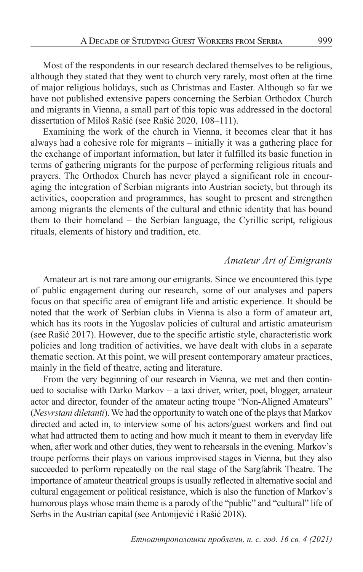Most of the respondents in our research declared themselves to be religious, although they stated that they went to church very rarely, most often at the time of major religious holidays, such as Christmas and Easter. Although so far we have not published extensive papers concerning the Serbian Orthodox Church and migrants in Vienna, a small part of this topic was addressed in the doctoral dissertation of Miloš Rašić (see Rašić 2020, 108–111).

Examining the work of the church in Vienna, it becomes clear that it has always had a cohesive role for migrants – initially it was a gathering place for the exchange of important information, but later it fulfilled its basic function in terms of gathering migrants for the purpose of performing religious rituals and prayers. The Orthodox Church has never played a significant role in encouraging the integration of Serbian migrants into Austrian society, but through its activities, cooperation and programmes, has sought to present and strengthen among migrants the elements of the cultural and ethnic identity that has bound them to their homeland – the Serbian language, the Cyrillic script, religious rituals, elements of history and tradition, etc.

## *Amateur Art of Emigrants*

Amateur art is not rare among our emigrants. Since we encountered this type of public engagement during our research, some of our analyses and papers focus on that specific area of emigrant life and artistic experience. It should be noted that the work of Serbian clubs in Vienna is also a form of amateur art, which has its roots in the Yugoslav policies of cultural and artistic amateurism (see Rašić 2017). However, due to the specific artistic style, characteristic work policies and long tradition of activities, we have dealt with clubs in a separate thematic section. At this point, we will present contemporary amateur practices, mainly in the field of theatre, acting and literature.

From the very beginning of our research in Vienna, we met and then continued to socialise with Darko Markov – a taxi driver, writer, poet, blogger, amateur actor and director, founder of the amateur acting troupe "Non-Aligned Amateurs" (*Nesvrstani diletanti*). We had the opportunity to watch one of the plays that Markov directed and acted in, to interview some of his actors/guest workers and find out what had attracted them to acting and how much it meant to them in everyday life when, after work and other duties, they went to rehearsals in the evening. Markov's troupe performs their plays on various improvised stages in Vienna, but they also succeeded to perform repeatedly on the real stage of the Sargfabrik Theatre. The importance of amateur theatrical groups is usually reflected in alternative social and cultural engagement or political resistance, which is also the function of Markov's humorous plays whose main theme is a parody of the "public" and "cultural" life of Serbs in the Austrian capital (see Antonijević i Rašić 2018).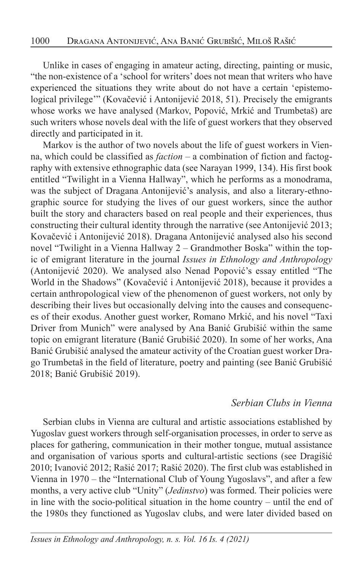Unlike in cases of engaging in amateur acting, directing, painting or music, "the non-existence of a 'school for writers' does not mean that writers who have experienced the situations they write about do not have a certain 'epistemological privilege'" (Kovačević i Antonijević 2018, 51). Precisely the emigrants whose works we have analysed (Markov, Popović, Mrkić and Trumbetaš) are such writers whose novels deal with the life of guest workers that they observed directly and participated in it.

Markov is the author of two novels about the life of guest workers in Vienna, which could be classified as *faction –* a combination of fiction and factography with extensive ethnographic data (see Narayan 1999, 134). His first book entitled "Twilight in a Vienna Hallway", which he performs as a monodrama, was the subject of Dragana Antonijević's analysis, and also a literary-ethnographic source for studying the lives of our guest workers, since the author built the story and characters based on real people and their experiences, thus constructing their cultural identity through the narrative (see Antonijević 2013; Kovačević i Antonijević 2018). Dragana Antonijević analysed also his second novel "Twilight in a Vienna Hallway 2 – Grandmother Boska" within the topic of emigrant literature in the journal *Issues in Ethnology and Anthropology*  (Antonijević 2020). We analysed also Nenad Popović's essay entitled "The World in the Shadows" (Kovačević i Antonijević 2018), because it provides a certain anthropological view of the phenomenon of guest workers, not only by describing their lives but occasionally delving into the causes and consequences of their exodus. Another guest worker, Romano Mrkić, and his novel "Taxi Driver from Munich" were analysed by Ana Banić Grubišić within the same topic on emigrant literature (Banić Grubišić 2020). In some of her works, Ana Banić Grubišić analysed the amateur activity of the Croatian guest worker Drago Trumbetaš in the field of literature, poetry and painting (see Banić Grubišić 2018; Banić Grubišić 2019).

#### *Serbian Clubs in Vienna*

Serbian clubs in Vienna are cultural and artistic associations established by Yugoslav guest workers through self-organisation processes, in order to serve as places for gathering, communication in their mother tongue, mutual assistance and organisation of various sports and cultural-artistic sections (see Dragišić 2010; Ivanović 2012; Rašić 2017; Rašić 2020). The first club was established in Vienna in 1970 – the "International Club of Young Yugoslavs", and after a few months, a very active club "Unity" (*Jedinstvo*) was formed. Their policies were in line with the socio-political situation in the home country – until the end of the 1980s they functioned as Yugoslav clubs, and were later divided based on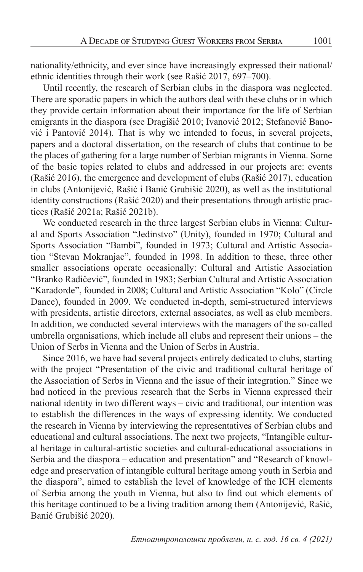nationality/ethnicity, and ever since have increasingly expressed their national/ ethnic identities through their work (see Rašić 2017, 697–700).

Until recently, the research of Serbian clubs in the diaspora was neglected. There are sporadic papers in which the authors deal with these clubs or in which they provide certain information about their importance for the life of Serbian emigrants in the diaspora (see Dragišić 2010; Ivanović 2012; Stefanović Banović i Pantović 2014). That is why we intended to focus, in several projects, papers and a doctoral dissertation, on the research of clubs that continue to be the places of gathering for a large number of Serbian migrants in Vienna. Some of the basic topics related to clubs and addressed in our projects are: events (Rašić 2016), the emergence and development of clubs (Rašić 2017), education in clubs (Antonijević, Rašić i Banić Grubišić 2020), as well as the institutional identity constructions (Rašić 2020) and their presentations through artistic practices (Rašić 2021a; Rašić 2021b).

We conducted research in the three largest Serbian clubs in Vienna: Cultural and Sports Association "Jedinstvo" (Unity), founded in 1970; Cultural and Sports Association "Bambi", founded in 1973; Cultural and Artistic Association "Stevan Mokranjac", founded in 1998. In addition to these, three other smaller associations operate occasionally: Cultural and Artistic Association "Branko Radičević", founded in 1983; Serbian Cultural and Artistic Association "Karađorđe", founded in 2008; Cultural and Artistic Association "Kolo" (Circle Dance), founded in 2009. We conducted in-depth, semi-structured interviews with presidents, artistic directors, external associates, as well as club members. In addition, we conducted several interviews with the managers of the so-called umbrella organisations, which include all clubs and represent their unions – the Union of Serbs in Vienna and the Union of Serbs in Austria.

Since 2016, we have had several projects entirely dedicated to clubs, starting with the project "Presentation of the civic and traditional cultural heritage of the Association of Serbs in Vienna and the issue of their integration." Since we had noticed in the previous research that the Serbs in Vienna expressed their national identity in two different ways – civic and traditional, our intention was to establish the differences in the ways of expressing identity. We conducted the research in Vienna by interviewing the representatives of Serbian clubs and educational and cultural associations. The next two projects, "Intangible cultural heritage in cultural-artistic societies and cultural-educational associations in Serbia and the diaspora – education and presentation" and "Research of knowledge and preservation of intangible cultural heritage among youth in Serbia and the diaspora", aimed to establish the level of knowledge of the ICH elements of Serbia among the youth in Vienna, but also to find out which elements of this heritage continued to be a living tradition among them (Antonijević, Rašić, Banić Grubišić 2020).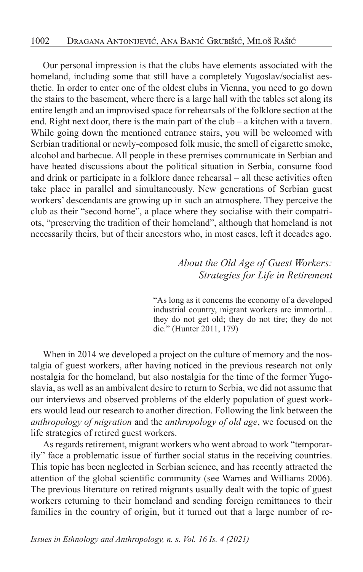Our personal impression is that the clubs have elements associated with the homeland, including some that still have a completely Yugoslav/socialist aesthetic. In order to enter one of the oldest clubs in Vienna, you need to go down the stairs to the basement, where there is a large hall with the tables set along its entire length and an improvised space for rehearsals of the folklore section at the end. Right next door, there is the main part of the club – a kitchen with a tavern. While going down the mentioned entrance stairs, you will be welcomed with Serbian traditional or newly-composed folk music, the smell of cigarette smoke, alcohol and barbecue. All people in these premises communicate in Serbian and have heated discussions about the political situation in Serbia, consume food and drink or participate in a folklore dance rehearsal – all these activities often take place in parallel and simultaneously. New generations of Serbian guest workers' descendants are growing up in such an atmosphere. They perceive the club as their "second home", a place where they socialise with their compatriots, "preserving the tradition of their homeland", although that homeland is not necessarily theirs, but of their ancestors who, in most cases, left it decades ago.

> *About the Old Age of Guest Workers: Strategies for Life in Retirement*

"As long as it concerns the economy of a developed industrial country, migrant workers are immortal... they do not get old; they do not tire; they do not die." (Hunter 2011, 179)

When in 2014 we developed a project on the culture of memory and the nostalgia of guest workers, after having noticed in the previous research not only nostalgia for the homeland, but also nostalgia for the time of the former Yugoslavia, as well as an ambivalent desire to return to Serbia, we did not assume that our interviews and observed problems of the elderly population of guest workers would lead our research to another direction. Following the link between the *anthropology of migration* and the *anthropology of old age*, we focused on the life strategies of retired guest workers.

As regards retirement, migrant workers who went abroad to work "temporarily" face a problematic issue of further social status in the receiving countries. This topic has been neglected in Serbian science, and has recently attracted the attention of the global scientific community (see Warnes and Williams 2006). The previous literature on retired migrants usually dealt with the topic of guest workers returning to their homeland and sending foreign remittances to their families in the country of origin, but it turned out that a large number of re-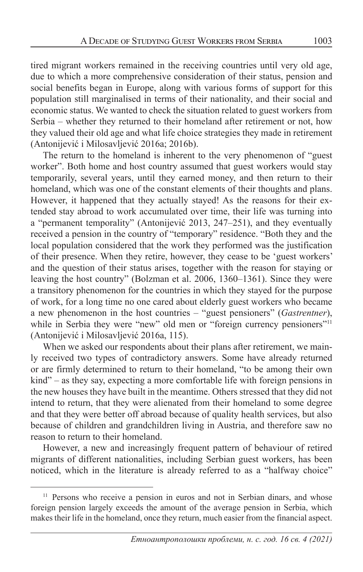tired migrant workers remained in the receiving countries until very old age, due to which a more comprehensive consideration of their status, pension and social benefits began in Europe, along with various forms of support for this population still marginalised in terms of their nationality, and their social and economic status. We wanted to check the situation related to guest workers from Serbia – whether they returned to their homeland after retirement or not, how they valued their old age and what life choice strategies they made in retirement (Antonijević i Milosavljević 2016a; 2016b).

The return to the homeland is inherent to the very phenomenon of "guest worker". Both home and host country assumed that guest workers would stay temporarily, several years, until they earned money, and then return to their homeland, which was one of the constant elements of their thoughts and plans. However, it happened that they actually stayed! As the reasons for their extended stay abroad to work accumulated over time, their life was turning into a "permanent temporality" (Antonijević 2013, 247–251), and they eventually received a pension in the country of "temporary" residence. "Both they and the local population considered that the work they performed was the justification of their presence. When they retire, however, they cease to be 'guest workers' and the question of their status arises, together with the reason for staying or leaving the host country" (Bolzman et al. 2006, 1360–1361). Since they were a transitory phenomenon for the countries in which they stayed for the purpose of work, for a long time no one cared about elderly guest workers who became a new phenomenon in the host countries – "guest pensioners" (*Gastrentner*), while in Serbia they were "new" old men or "foreign currency pensioners"<sup>11</sup> (Antonijević i Milosavljević 2016a, 115).

When we asked our respondents about their plans after retirement, we mainly received two types of contradictory answers. Some have already returned or are firmly determined to return to their homeland, "to be among their own kind" – as they say, expecting a more comfortable life with foreign pensions in the new houses they have built in the meantime. Others stressed that they did not intend to return, that they were alienated from their homeland to some degree and that they were better off abroad because of quality health services, but also because of children and grandchildren living in Austria, and therefore saw no reason to return to their homeland.

However, a new and increasingly frequent pattern of behaviour of retired migrants of different nationalities, including Serbian guest workers, has been noticed, which in the literature is already referred to as a "halfway choice"

<sup>&</sup>lt;sup>11</sup> Persons who receive a pension in euros and not in Serbian dinars, and whose foreign pension largely exceeds the amount of the average pension in Serbia, which makes their life in the homeland, once they return, much easier from the financial aspect.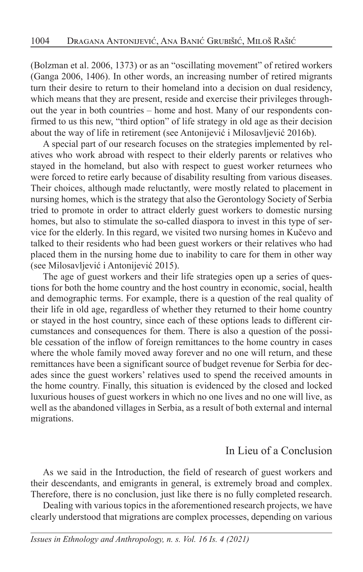(Bolzman et al. 2006, 1373) or as an "oscillating movement" of retired workers (Ganga 2006, 1406). In other words, an increasing number of retired migrants turn their desire to return to their homeland into a decision on dual residency, which means that they are present, reside and exercise their privileges throughout the year in both countries – home and host. Many of our respondents confirmed to us this new, "third option" of life strategy in old age as their decision about the way of life in retirement (see Antonijević i Milosavljević 2016b).

A special part of our research focuses on the strategies implemented by relatives who work abroad with respect to their elderly parents or relatives who stayed in the homeland, but also with respect to guest worker returnees who were forced to retire early because of disability resulting from various diseases. Their choices, although made reluctantly, were mostly related to placement in nursing homes, which is the strategy that also the Gerontology Society of Serbia tried to promote in order to attract elderly guest workers to domestic nursing homes, but also to stimulate the so-called diaspora to invest in this type of service for the elderly. In this regard, we visited two nursing homes in Kučevo and talked to their residents who had been guest workers or their relatives who had placed them in the nursing home due to inability to care for them in other way (see Milosavljević i Antonijević 2015).

The age of guest workers and their life strategies open up a series of questions for both the home country and the host country in economic, social, health and demographic terms. For example, there is a question of the real quality of their life in old age, regardless of whether they returned to their home country or stayed in the host country, since each of these options leads to different circumstances and consequences for them. There is also a question of the possible cessation of the inflow of foreign remittances to the home country in cases where the whole family moved away forever and no one will return, and these remittances have been a significant source of budget revenue for Serbia for decades since the guest workers' relatives used to spend the received amounts in the home country. Finally, this situation is evidenced by the closed and locked luxurious houses of guest workers in which no one lives and no one will live, as well as the abandoned villages in Serbia, as a result of both external and internal migrations.

## In Lieu of a Conclusion

As we said in the Introduction, the field of research of guest workers and their descendants, and emigrants in general, is extremely broad and complex. Therefore, there is no conclusion, just like there is no fully completed research.

Dealing with various topics in the aforementioned research projects, we have clearly understood that migrations are complex processes, depending on various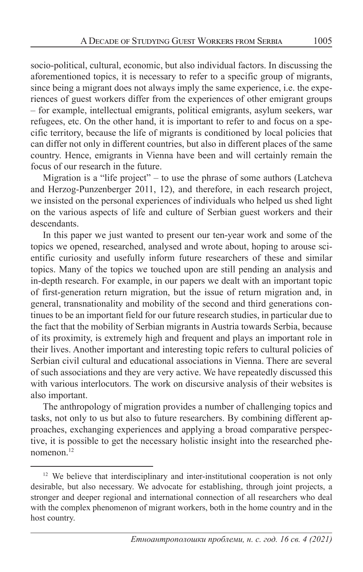socio-political, cultural, economic, but also individual factors. In discussing the aforementioned topics, it is necessary to refer to a specific group of migrants, since being a migrant does not always imply the same experience, i.e. the experiences of guest workers differ from the experiences of other emigrant groups – for example, intellectual emigrants, political emigrants, asylum seekers, war refugees, etc. On the other hand, it is important to refer to and focus on a specific territory, because the life of migrants is conditioned by local policies that can differ not only in different countries, but also in different places of the same country. Hence, emigrants in Vienna have been and will certainly remain the focus of our research in the future.

Migration is a "life project" – to use the phrase of some authors (Latcheva and Herzog-Punzenberger 2011, 12), and therefore, in each research project, we insisted on the personal experiences of individuals who helped us shed light on the various aspects of life and culture of Serbian guest workers and their descendants.

In this paper we just wanted to present our ten-year work and some of the topics we opened, researched, analysed and wrote about, hoping to arouse scientific curiosity and usefully inform future researchers of these and similar topics. Many of the topics we touched upon are still pending an analysis and in-depth research. For example, in our papers we dealt with an important topic of first-generation return migration, but the issue of return migration and, in general, transnationality and mobility of the second and third generations continues to be an important field for our future research studies, in particular due to the fact that the mobility of Serbian migrants in Austria towards Serbia, because of its proximity, is extremely high and frequent and plays an important role in their lives. Another important and interesting topic refers to cultural policies of Serbian civil cultural and educational associations in Vienna. There are several of such associations and they are very active. We have repeatedly discussed this with various interlocutors. The work on discursive analysis of their websites is also important.

The anthropology of migration provides a number of challenging topics and tasks, not only to us but also to future researchers. By combining different approaches, exchanging experiences and applying a broad comparative perspective, it is possible to get the necessary holistic insight into the researched phenomenon.12

<sup>&</sup>lt;sup>12</sup> We believe that interdisciplinary and inter-institutional cooperation is not only desirable, but also necessary. We advocate for establishing, through joint projects, a stronger and deeper regional and international connection of all researchers who deal with the complex phenomenon of migrant workers, both in the home country and in the host country.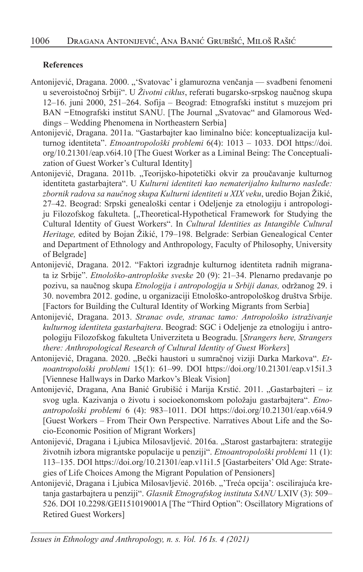#### **References**

- Antonijević, Dragana. 2000. "'Svatovac' i glamurozna venčanja svadbeni fenomeni u severoistočnoj Srbiji". U *Životni ciklus*, referati bugarsko-srpskog naučnog skupa 12–16. juni 2000, 251–264. Sofija – Beograd: Etnografski institut s muzejom pri BAN – Etnografski institut SANU. [The Journal "Svatovac" and Glamorous Weddings – Wedding Phenomena in Northeastern Serbia]
- Antonijević, Dragana. 2011a. "Gastarbajter kao liminalno biće: konceptualizacija kulturnog identiteta". *Etnoantropološki problemi* 6(4): 1013 – 1033. DOI https://doi. org/10.21301/eap.v6i4.10 [The Guest Worker as a Liminal Being: The Conceptualization of Guest Worker's Cultural Identity]
- Antonijević, Dragana. 2011b. "Teorijsko-hipotetički okvir za proučavanje kulturnog identiteta gastarbajtera". U *Kulturni identiteti kao nematerijalno kulturno nasleđe: zbornik radova sa naučnog skupa Kulturni identiteti u XIX veku*, uredio Bojan Žikić, 27–42. Beograd: Srpski genealoški centar i Odeljenje za etnologiju i antropologiju Filozofskog fakulteta. ["Theoretical-Hypothetical Framework for Studying the Cultural Identity of Guest Workers". In *Cultural Identities as Intangible Cultural Heritage,* edited by Bojan Žikić, 179–198. Belgrade: Serbian Genealogical Center and Department of Ethnology and Anthropology, Faculty of Philosophy, University of Belgrade]
- Antonijević, Dragana. 2012. "Faktori izgradnje kulturnog identiteta radnih migranata iz Srbije". *Etnološko-antroploške sveske* 20 (9): 21–34. Plenarno predavanje po pozivu, sa naučnog skupa *Etnologija i antropologija u Srbiji danas,* održanog 29. i 30. novembra 2012. godine, u organizaciji Etnološko-antropološkog društva Srbije. [Factors for Building the Cultural Identity of Working Migrants from Serbia]
- Antonijević, Dragana. 2013. *Stranac ovde, stranac tamo: Antropološko istraživanje kulturnog identiteta gastarbajtera*. Beograd: SGC i Odeljenje za etnologiju i antropologiju Filozofskog fakulteta Univerziteta u Beogradu. [*Strangers here, Strangers there: Anthropological Research of Cultural Identity of Guest Workers*]
- Antonijević, Dragana. 2020. "Bečki haustori u sumračnoj viziji Darka Markova". Et*noantropološki problemi* 15(1): 61–99. DOI https://doi.org/10.21301/eap.v15i1.3 [Viennese Hallways in Darko Markov's Bleak Vision]
- Antonijević, Dragana, Ana Banić Grubišić i Marija Krstić. 2011. "Gastarbajteri iz svog ugla. Kazivanja o životu i socioekonomskom položaju gastarbajtera". *Etnoantropološki problemi* 6 (4): 983–1011. DOI https://doi.org/10.21301/eap.v6i4.9 [Guest Workers – From Their Own Perspective. Narratives About Life and the Socio-Economic Position of Migrant Workers]
- Antonijević, Dragana i Ljubica Milosavljević. 2016a. "Starost gastarbajtera: strategije životnih izbora migrantske populacije u penziji". *Etnoantropološki problemi* 11 (1): 113–135. DOI https://doi.org/10.21301/eap.v11i1.5 [Gastarbeiters' Old Age: Strategies of Life Choices Among the Migrant Population of Pensioners]
- Antonijević, Dragana i Ljubica Milosavljević. 2016b. "'Treća opcija': oscilirajuća kretanja gastarbajtera u penziji". *Glasnik Etnografskog instituta SANU* LXIV (3): 509– 526. DOI 10.2298/GEI151019001A [The "Third Option": Oscillatory Migrations of Retired Guest Workers]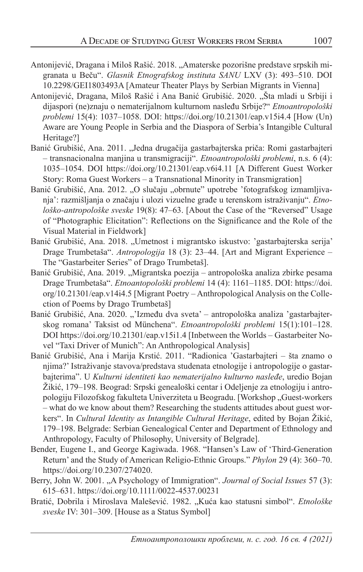- Antonijević, Dragana i Miloš Rašić. 2018. "Amaterske pozorišne predstave srpskih migranata u Beču". *Glasnik Etnografskog instituta SANU* LXV (3): 493–510. DOI 10.2298/GEI1803493A [Amateur Theater Plays by Serbian Migrants in Vienna]
- Antonijević, Dragana, Miloš Rašić i Ana Banić Grubišić. 2020. "Šta mladi u Srbiji i dijaspori (ne)znaju o nematerijalnom kulturnom nasleđu Srbije?" *Etnoantropološki problemi* 15(4): 1037–1058. DOI: https://doi.org/10.21301/eap.v15i4.4 [How (Un) Aware are Young People in Serbia and the Diaspora of Serbia's Intangible Cultural Heritage?]
- Banić Grubišić, Ana. 2011. "Jedna drugačija gastarbajterska priča: Romi gastarbajteri – transnacionalna manjina u transmigraciji". *Etnoantropološki problemi*, n.s. 6 (4): 1035–1054. DOI https://doi.org/10.21301/eap.v6i4.11 [A Different Guest Worker Story: Roma Guest Workers – a Transnational Minority in Transmigration]
- Banić Grubišić, Ana. 2012. "O slučaju "obrnute" upotrebe 'fotografskog izmamljivanja': razmišljanja o značaju i ulozi vizuelne građe u terenskom istraživanju". *Etnološko-antropološke sveske* 19(8): 47–63. [About the Case of the "Reversed" Usage of "Photographic Elicitation": Reflections on the Significance and the Role of the Visual Material in Fieldwork]
- Banić Grubišić, Ana. 2018. "Umetnost i migrantsko iskustvo: 'gastarbajterska serija' Drage Trumbetaša". *Antropologija* 18 (3): 23–44. [Art and Migrant Experience – The "Gastarbeiter Series" of Drago Trumbetaš].
- Banić Grubišić, Ana. 2019. "Migrantska poezija antropološka analiza zbirke pesama Drage Trumbetaša". *Etnoantopološki problemi* 14 (4): 1161–1185. DOI: https://doi. org/10.21301/eap.v14i4.5 [Migrant Poetry – Anthropological Analysis on the Collection of Poems by Drago Trumbetaš]
- Banić Grubišić, Ana. 2020. "'Između dva sveta' antropološka analiza 'gastarbajterskog romana' Taksist od Münchena". *Etnoantropološki problemi* 15(1):101–128. DOI https://doi.org/10.21301/eap.v15i1.4 [Inbetween the Worlds – Gastarbeiter Novel "Taxi Driver of Munich": An Anthropological Analysis]
- Banić Grubišić, Ana i Marija Krstić. 2011. "Radionica 'Gastarbajteri šta znamo o njima?' Istraživanje stavova/predstava studenata etnologije i antropologije o gastarbajterima". U *Kulturni identiteti kao nematerijalno kulturno nasleđe*, uredio Bojan Žikić, 179–198. Beograd: Srpski genealoški centar i Odeljenje za etnologiju i antropologiju Filozofskog fakulteta Univerziteta u Beogradu. [Workshop "Guest-workers – what do we know about them? Researching the students attitudes about guest workers". In *Cultural Identity as Intangible Cultural Heritage*, edited by Bojan Žikić, 179–198. Belgrade: Serbian Genealogical Center and Department of Ethnology and Anthropology, Faculty of Philosophy, University of Belgrade].
- Bender, Eugene I., and George Kagiwada. 1968. "Hansen's Law of 'Third-Generation Return' and the Study of American Religio-Ethnic Groups." *Phylon* 29 (4): 360–70. https://doi.org/10.2307/274020.
- Berry, John W. 2001. "A Psychology of Immigration". *Journal of Social Issues* 57 (3): 615–631. https://doi.org/10.1111/0022-4537.00231
- Bratić, Dobrila i Miroslava Malešević. 1982. "Kuća kao statusni simbol". *Etnološke sveske* IV: 301–309. [House as a Status Symbol]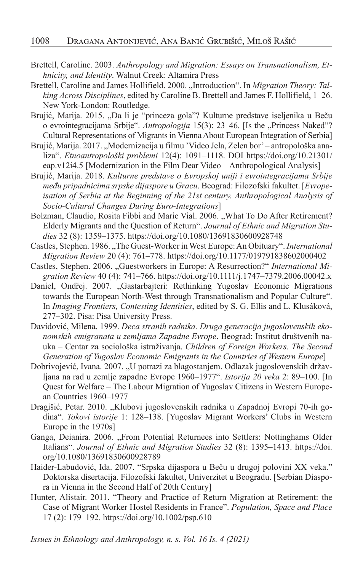- Brettell, Caroline. 2003. *Anthropology and Migration: Essays on Transnationalism, Ethnicity, and Identity*. Walnut Creek: Altamira Press
- Brettell, Caroline and James Hollifield. 2000. "Introduction". In *Migration Theory: Talking Across Disciplines*, edited by Caroline B. Brettell and James F. Hollifield, 1–26. New York-London: Routledge.
- Brujić, Marija. 2015. "Da li je "princeza gola"? Kulturne predstave iseljenika u Beču o evrointegracijama Srbije". *Antropologija* 15(3): 23-46. [Is the "Princess Naked"? Cultural Representations of Migrants in Vienna About European Integration of Serbia]
- Brujić, Marija. 2017. "Modernizacija u filmu 'Video Jela, Zelen bor' antropološka analiza". *Etnoantropološki problemi* 12(4): 1091–1118. DOI https://doi.org/10.21301/ eap.v12i4.5 [Modernization in the Film Dear Video – Anthropological Analysis]
- Brujić, Marija. 2018. *Kulturne predstave o Evropskoj uniji i evrointegracijama Srbije među pripadnicima srpske dijaspore u Gracu*. Beograd: Filozofski fakultet. [*Evropeisation of Serbia at the Beginning of the 21st century. Anthropological Analysis of Socio-Cultural Changes During Euro-Integrations*]
- Bolzman, Claudio, Rosita Fibbi and Marie Vial. 2006. "What To Do After Retirement? Elderly Migrants and the Question of Return". *Journal of Ethnic and Migration Studies* 32 (8): 1359–1375. https://doi.org/10.1080/13691830600928748
- Castles, Stephen. 1986. "The Guest-Worker in West Europe: An Obituary". *International Migration Review* 20 (4): 761–778. https://doi.org/10.1177/019791838602000402
- Castles, Stephen. 2006. "Guestworkers in Europe: A Resurrection?" International Mi*gration Review* 40 (4): 741–766. https://doi.org/10.1111/j.1747–7379.2006.00042.x
- Daniel, Ondřej. 2007. "Gastarbajteri: Rethinking Yugoslav Economic Migrations towards the European North-West through Transnationalism and Popular Culture". In *Imaging Frontiers, Contesting Identities*, edited by S. G. Ellis and L. Klusáková, 277–302. Pisa: Pisa University Press.
- Davidović, Milena. 1999. *Deca stranih radnika. Druga generacija jugoslovenskih ekonomskih emigranata u zemljama Zapadne Evrope*. Beograd: Institut društvenih nauka – Centar za sociološka istraživanja. *Children of Foreign Workers. The Second Generation of Yugoslav Economic Emigrants in the Countries of Western Europe*]
- Dobrivojević, Ivana. 2007. "U potrazi za blagostanjem. Odlazak jugoslovenskih državljana na rad u zemlje zapadne Evrope 1960–1977". *Istorija 20 veka* 2: 89–100. [In Quest for Welfare – The Labour Migration of Yugoslav Citizens in Western European Countries 1960–1977
- Dragišić, Petar. 2010. "Klubovi jugoslovenskih radnika u Zapadnoj Evropi 70-ih godina". *Tokovi istorije* 1: 128–138. [Yugoslav Migrant Workers' Clubs in Western Europe in the 1970s]
- Ganga, Deianira. 2006. "From Potential Returnees into Settlers: Nottinghams Older Italians". *Journal of Ethnic and Migration Studies* 32 (8): 1395–1413. https://doi. org/10.1080/13691830600928789
- Haider-Labudović, Ida. 2007. "Srpska dijaspora u Beču u drugoj polovini XX veka." Doktorska disertacija. Filozofski fakultet, Univerzitet u Beogradu. [Serbian Diaspora in Vienna in the Second Half of 20th Century]
- Hunter, Alistair. 2011. "Theory and Practice of Return Migration at Retirement: the Case of Migrant Worker Hostel Residents in France". *Population, Space and Place* 17 (2): 179–192. https://doi.org/10.1002/psp.610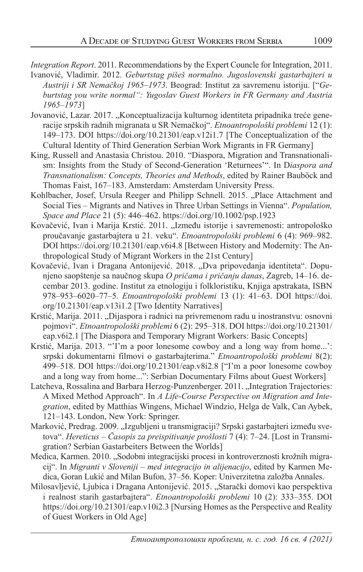*Integration Report*. 2011. Recommendations by the Expert Councle for Integration, 2011.

- Ivanović, Vladimir. 2012. *Geburtstag pišeš normalno. Jugoslovenski gastarbajteri u Austriji i SR Nemačkoj 1965–1973*. Beograd: Institut za savremenu istoriju. ["*Geburtstag you write normal": Yugoslav Guest Workers in FR Germany and Austria 1965–1973*]
- Jovanović, Lazar. 2017. "Konceptualizacija kulturnog identiteta pripadnika treće generacije srpskih radnih migranata u SR Nemačkoj". *Etnoantropološki problemi* 12 (1): 149–173. DOI https://doi.org/10.21301/eap.v12i1.7 [The Conceptualization of the Cultural Identity of Third Generation Serbian Work Migrants in FR Germany]
- King, Russell and Anastasia Christou. 2010. "Diaspora, Migration and Transnationalism: Insights from the Study of Second-Generation 'Returnees'". In D*iaspora and Transnationalism: Concepts, Theories and Methods*, edited by Rainer Bauböck and Thomas Faist, 167–183. Amsterdam: Amsterdam University Press.
- Kohlbacher, Josef, Ursula Reeger and Philipp Schnell. 2015. "Place Attachment and Social Ties – Migrants and Natives in Three Urban Settings in Vienna". *Population, Space and Place* 21 (5): 446–462. https://doi.org/10.1002/psp.1923
- Kovačević, Ivan i Marija Krstić. 2011. "Između istorije i savremenosti: antropološko proučavanje gastarbajtera u 21. veku". *Etnoantropološki problemi* 6 (4): 969–982. DOI https://doi.org/10.21301/eap.v6i4.8 [Between History and Modernity: The Anthropological Study of Migrant Workers in the 21st Century]
- Kovačević, Ivan i Dragana Antonijević. 2018. "Dva pripovedanja identiteta". Dopunjeno saopštenje sa naučnog skupa *O pričama i pričanju danas*, Zagreb, 14–16. decembar 2013. godine. Institut za etnologiju i folkloristiku, Knjiga apstrakata, ISBN 978–953–6020–77–5. *Etnoantropološki problemi* 13 (1): 41–63. DOI https://doi. org/10.21301/eap.v13i1.2 [Two Identity Narratives]
- Krstić, Marija. 2011. "Dijaspora i radnici na privremenom radu u inostranstvu: osnovni pojmovi". *Etnoantropološki problemi* 6 (2): 295–318. DOI https://doi.org/10.21301/ eap.v6i2.1 [The Diaspora and Temporary Migrant Workers: Basic Concepts]
- Krstić, Marija. 2013. "'I'm a poor lonesome cowboy and a long way from home...': srpski dokumentarni filmovi o gastarbajterima." *Etnoantropološki problemi* 8(2): 499–518. DOI https://doi.org/10.21301/eap.v8i2.8 ["I'm a poor lonesome cowboy and a long way from home...": Serbian Documentary Films about Guest Workers]
- Latcheva, Rossalina and Barbara Herzog-Punzenberger. 2011. "Integration Trajectories: A Mixed Method Approach". In *A Life-Course Perspective on Migration and Integration*, edited by Matthias Wingens, Michael Windzio, Helga de Valk, Can Aybek, 121–143. London, New York: Springer.
- Marković, Predrag. 2009. "Izgubljeni u transmigraciji? Srpski gastarbajteri između svetova". *Hereticus – Časopis za preispitivanje prošlosti* 7 (4): 7–24. [Lost in Transmigration? Serbian Gastarbeiters Between the Worlds]
- Medica, Karmen. 2010. "Sodobni integracijski procesi in kontroverznosti krožnih migracij". In *Migranti v Sloveniji – med integracijo in alijenacijo*, edited by Karmen Medica, Goran Lukić and Milan Bufon, 37–56. Koper: Univerzitetna založba Annales.
- Milosavljević, Ljubica i Dragana Antonijević. 2015. "Starački domovi kao perspektiva i realnost starih gastarbajtera". *Etnoantropološki problemi* 10 (2): 333–355. DOI https://doi.org/10.21301/eap.v10i2.3 [Nursing Homes as the Perspective and Reality of Guest Workers in Old Age]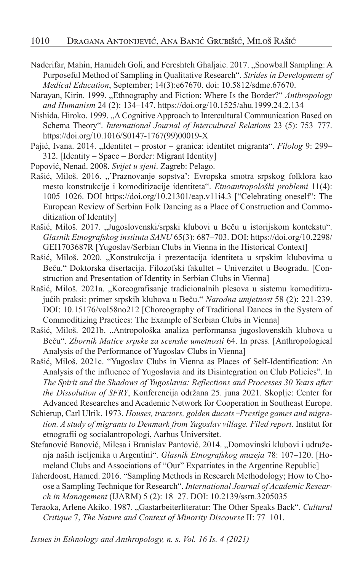- Naderifar, Mahin, Hamideh Goli, and Fereshteh Ghaljaie. 2017. "Snowball Sampling: A Purposeful Method of Sampling in Qualitative Research". *Strides in Development of Medical Education*, September; 14(3):e67670. doi: 10.5812/sdme.67670.
- Narayan, Kirin. 1999. "Ethnography and Fiction: Where Is the Border?" *Anthropology and Humanism* 24 (2): 134–147. https://doi.org/10.1525/ahu.1999.24.2.134
- Nishida, Hiroko. 1999. "A Cognitive Approach to Intercultural Communication Based on Schema Theory". *International Journal of Intercultural Relations* 23 (5): 753–777. https://doi.org/10.1016/S0147-1767(99)00019-X
- Pajić, Ivana. 2014. "Identitet prostor granica: identitet migranta". *Filolog* 9: 299– 312. [Identity – Space – Border: Migrant Identity]
- Popović, Nenad. 2008. *Svijet u sjeni*. Zagreb: Pelago.
- Rašić, Miloš. 2016. "'Praznovanje sopstva': Evropska smotra srpskog folklora kao mesto konstrukcije i komoditizacije identiteta". *Etnoantropološki problemi* 11(4): 1005–1026. DOI https://doi.org/10.21301/eap.v11i4.3 ["Celebrating oneself": The European Review of Serbian Folk Dancing as a Place of Construction and Commoditization of Identity]
- Rašić, Miloš. 2017. "Jugoslovenski/srpski klubovi u Beču u istorijskom kontekstu". *Glasnik Etnografskog instituta SANU* 65(3): 687–703. DOI: https://doi.org/10.2298/ GEI1703687R [Yugoslav/Serbian Clubs in Vienna in the Historical Context]
- Rašić, Miloš. 2020. "Konstrukcija i prezentacija identiteta u srpskim klubovima u Beču." Doktorska disertacija. Filozofski fakultet – Univerzitet u Beogradu. [Construction and Presentation of Identity in Serbian Clubs in Vienna]
- Rašić, Miloš. 2021a. "Koreografisanje tradicionalnih plesova u sistemu komoditizujućih praksi: primer srpskih klubova u Beču." *Narodna umjetnost* 58 (2): 221-239. DOI: 10.15176/vol58no212 [Choreography of Traditional Dances in the System of Commoditizing Practices: The Example of Serbian Clubs in Vienna]
- Rašić, Miloš. 2021b. "Antropološka analiza performansa jugoslovenskih klubova u Beču". *Zbornik Matice srpske za scenske umetnosti* 64. In press. [Anthropological Analysis of the Performance of Yugoslav Clubs in Vienna]
- Rašić, Miloš. 2021c. "Yugoslav Clubs in Vienna as Places of Self-Identification: An Analysis of the influence of Yugoslavia and its Disintegration on Club Policies". In *The Spirit and the Shadows of Yugoslavia: Reflections and Processes 30 Years after the Dissolution of SFRY*, Konferencija održana 25. juna 2021. Skoplje: Center for Advanced Researches and Academic Network for Cooperation in Southeast Europe.
- Schierup, Carl Ulrik. 1973. Houses, tractors, golden ducats-Prestige games and migra*tion. A study of migrants to Denmark from Yugoslav village. Filed report*. Institut for etnografii og socialantropologi, Aarhus Universitet.
- Stefanović Banović, Milesa i Branislav Pantović, 2014. "Domovinski klubovi i udruženja naših iseljenika u Argentini". *Glasnik Etnografskog muzeja* 78: 107–120. [Homeland Clubs and Associations of "Our" Expatriates in the Argentine Republic]
- Taherdoost, Hamed. 2016. "Sampling Methods in Research Methodology; How to Choose a Sampling Technique for Research". *International Journal of Academic Research in Management* (IJARM) 5 (2): 18–27. DOI: 10.2139/ssrn.3205035
- Teraoka, Arlene Akiko. 1987. "Gastarbeiterliteratur: The Other Speaks Back". *Cultural Critique* 7, *The Nature and Context of Minority Discourse* II: 77–101.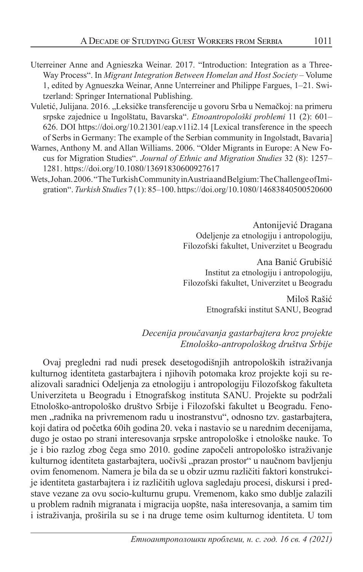- Uterreiner Anne and Agnieszka Weinar. 2017. "Introduction: Integration as a Three-Way Process". In *Migrant Integration Between Homelan and Host Society* – Volume 1, edited by Agnueszka Weinar, Anne Unterreiner and Philippe Fargues, 1–21. Switzerland: Springer International Publishing.
- Vuletić, Julijana. 2016. "Leksičke transferencije u govoru Srba u Nemačkoj: na primeru srpske zajednice u Ingolštatu, Bavarska". *Etnoantropološki problemi* 11 (2): 601– 626. DOI https://doi.org/10.21301/eap.v11i2.14 [Lexical transference in the speech of Serbs in Germany: The example of the Serbian community in Ingolstadt, Bavaria]
- Warnes, Anthony M. and Allan Williams. 2006. "Older Migrants in Europe: A New Focus for Migration Studies". *Journal of Ethnic and Migration Studies* 32 (8): 1257– 1281. https://doi.org/10.1080/13691830600927617
- Wets, Johan. 2006. "The Turkish Community in Austria and Belgium: The Challenge of Imigration". *Turkish Studies* 7 (1): 85–100. https://doi.org/10.1080/14683840500520600

Antonijević Dragana Odeljenje za etnologiju i antropologiju, Filozofski fakultet, Univerzitet u Beogradu

Ana Banić Grubišić Institut za etnologiju i antropologiju, Filozofski fakultet, Univerzitet u Beogradu

> Miloš Rašić Etnografski institut SANU, Beograd

#### *Decenija proučavanja gastarbajtera kroz projekte Etnološko-antropološkog društva Srbije*

Ovaj pregledni rad nudi presek desetogodišnjih antropoloških istraživanja kulturnog identiteta gastarbajtera i njihovih potomaka kroz projekte koji su realizovali saradnici Odeljenja za etnologiju i antropologiju Filozofskog fakulteta Univerziteta u Beogradu i Etnografskog instituta SANU. Projekte su podržali Etnološko-antropološko društvo Srbije i Filozofski fakultet u Beogradu. Fenomen "radnika na privremenom radu u inostranstvu", odnosno tzv. gastarbajtera, koji datira od početka 60ih godina 20. veka i nastavio se u narednim decenijama, dugo je ostao po strani interesovanja srpske antropološke i etnološke nauke. To je i bio razlog zbog čega smo 2010. godine započeli antropološko istraživanje kulturnog identiteta gastarbajtera, uočivši "prazan prostor" u naučnom bavljenju ovim fenomenom. Namera je bila da se u obzir uzmu različiti faktori konstrukcije identiteta gastarbajtera i iz različitih uglova sagledaju procesi, diskursi i predstave vezane za ovu socio-kulturnu grupu. Vremenom, kako smo dublje zalazili u problem radnih migranata i migracija uopšte, naša interesovanja, a samim tim i istraživanja, proširila su se i na druge teme osim kulturnog identiteta. U tom